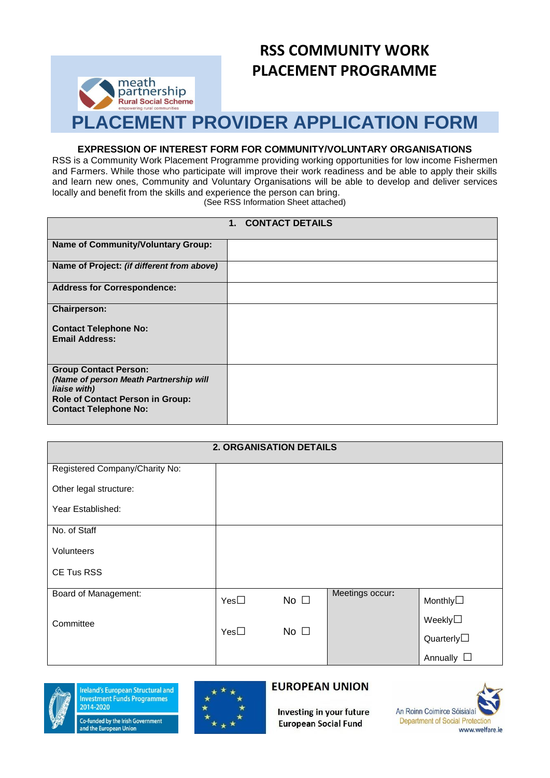

# **RSS COMMUNITY WORK PLACEMENT PROGRAMME**

# **PLACEMENT PROVIDER APPLICATION FORM**

#### **EXPRESSION OF INTEREST FORM FOR COMMUNITY/VOLUNTARY ORGANISATIONS**

RSS is a Community Work Placement Programme providing working opportunities for low income Fishermen and Farmers. While those who participate will improve their work readiness and be able to apply their skills and learn new ones, Community and Voluntary Organisations will be able to develop and deliver services locally and benefit from the skills and experience the person can bring.

(See RSS Information Sheet attached)

| 1. CONTACT DETAILS                                                                                                                                                |  |  |  |
|-------------------------------------------------------------------------------------------------------------------------------------------------------------------|--|--|--|
| <b>Name of Community/Voluntary Group:</b>                                                                                                                         |  |  |  |
| Name of Project: (if different from above)                                                                                                                        |  |  |  |
| <b>Address for Correspondence:</b>                                                                                                                                |  |  |  |
| <b>Chairperson:</b>                                                                                                                                               |  |  |  |
| <b>Contact Telephone No:</b><br><b>Email Address:</b>                                                                                                             |  |  |  |
| <b>Group Contact Person:</b><br>(Name of person Meath Partnership will<br>liaise with)<br><b>Role of Contact Person in Group:</b><br><b>Contact Telephone No:</b> |  |  |  |

| <b>2. ORGANISATION DETAILS</b> |              |              |                 |                    |
|--------------------------------|--------------|--------------|-----------------|--------------------|
| Registered Company/Charity No: |              |              |                 |                    |
| Other legal structure:         |              |              |                 |                    |
| Year Established:              |              |              |                 |                    |
| No. of Staff                   |              |              |                 |                    |
| Volunteers                     |              |              |                 |                    |
| CE Tus RSS                     |              |              |                 |                    |
| Board of Management:           | $Yes\square$ | No $\square$ | Meetings occur: | Monthly□           |
| Committee                      |              | No $\square$ |                 | Weekly $\square$   |
| $Yes\square$                   |              |              |                 | Quarterly $\Box$   |
|                                |              |              |                 | Annually $\square$ |



**Ireland's European Structural and Investment Funds Programmes** 2014-2020

Co-funded by the Irish Government and the European Union



# **EUROPEAN UNION**

Investing in your future **European Social Fund** 

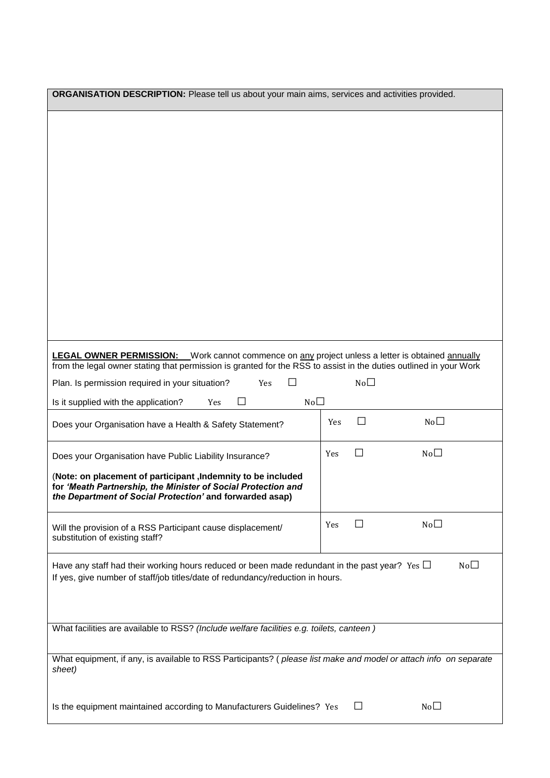| ORGANISATION DESCRIPTION: Please tell us about your main aims, services and activities provided.                                                                                                                             |     |                 |                 |  |
|------------------------------------------------------------------------------------------------------------------------------------------------------------------------------------------------------------------------------|-----|-----------------|-----------------|--|
|                                                                                                                                                                                                                              |     |                 |                 |  |
|                                                                                                                                                                                                                              |     |                 |                 |  |
|                                                                                                                                                                                                                              |     |                 |                 |  |
| <b>LEGAL OWNER PERMISSION:</b> Work cannot commence on any project unless a letter is obtained annually<br>from the legal owner stating that permission is granted for the RSS to assist in the duties outlined in your Work |     |                 |                 |  |
| Plan. Is permission required in your situation?<br>Yes                                                                                                                                                                       |     | No <sub>1</sub> |                 |  |
| No <sub>1</sub><br>П<br>Is it supplied with the application?<br>Yes                                                                                                                                                          |     |                 |                 |  |
| Does your Organisation have a Health & Safety Statement?                                                                                                                                                                     | Yes | $\Box$          | No <sub>1</sub> |  |
| Does your Organisation have Public Liability Insurance?                                                                                                                                                                      | Yes | П               | No <sub>1</sub> |  |
| (Note: on placement of participant , Indemnity to be included<br>for 'Meath Partnership, the Minister of Social Protection and<br>the Department of Social Protection' and forwarded asap)                                   |     |                 |                 |  |
| Will the provision of a RSS Participant cause displacement/<br>substitution of existing staff?                                                                                                                               | Yes |                 | No              |  |
| No <sub>1</sub><br>Have any staff had their working hours reduced or been made redundant in the past year? Yes $\Box$<br>If yes, give number of staff/job titles/date of redundancy/reduction in hours.                      |     |                 |                 |  |
| What facilities are available to RSS? (Include welfare facilities e.g. toilets, canteen)                                                                                                                                     |     |                 |                 |  |
| What equipment, if any, is available to RSS Participants? (please list make and model or attach info on separate<br>sheet)                                                                                                   |     |                 |                 |  |
| Is the equipment maintained according to Manufacturers Guidelines? Yes                                                                                                                                                       |     | $\perp$         | No <sub>1</sub> |  |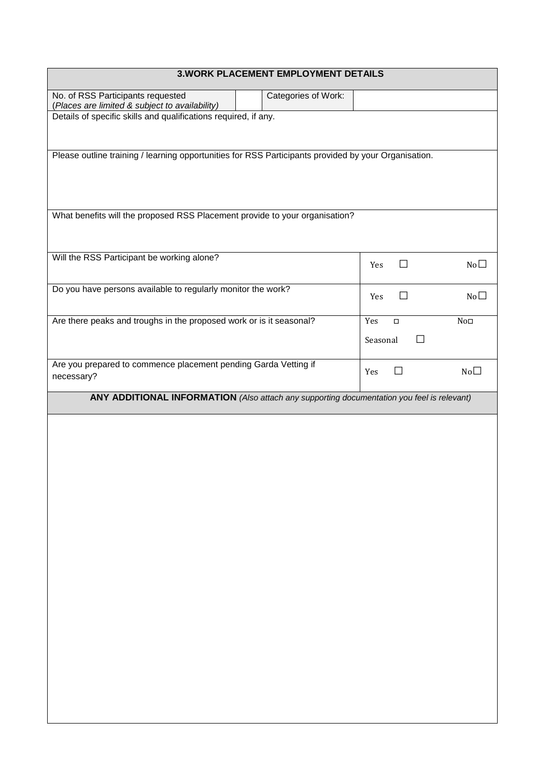# **3.WORK PLACEMENT EMPLOYMENT DETAILS**

 $\overline{\phantom{a}}$ 

| No. of RSS Participants requested<br>(Places are limited & subject to availability)                  | Categories of Work: |                     |                 |
|------------------------------------------------------------------------------------------------------|---------------------|---------------------|-----------------|
| Details of specific skills and qualifications required, if any.                                      |                     |                     |                 |
|                                                                                                      |                     |                     |                 |
|                                                                                                      |                     |                     |                 |
| Please outline training / learning opportunities for RSS Participants provided by your Organisation. |                     |                     |                 |
|                                                                                                      |                     |                     |                 |
|                                                                                                      |                     |                     |                 |
| What benefits will the proposed RSS Placement provide to your organisation?                          |                     |                     |                 |
|                                                                                                      |                     |                     |                 |
|                                                                                                      |                     |                     |                 |
| Will the RSS Participant be working alone?                                                           |                     |                     |                 |
|                                                                                                      |                     | Yes<br>⊔            | No <sub>1</sub> |
| Do you have persons available to regularly monitor the work?                                         |                     |                     |                 |
|                                                                                                      |                     | П<br>Yes            | No <sub>1</sub> |
| Are there peaks and troughs in the proposed work or is it seasonal?                                  |                     | Yes<br>$\Box$       | No <sub>□</sub> |
|                                                                                                      |                     | Seasonal<br>$\perp$ |                 |
|                                                                                                      |                     |                     |                 |
| Are you prepared to commence placement pending Garda Vetting if                                      |                     | $\Box$<br>Yes       | No <sub>1</sub> |
| necessary?                                                                                           |                     |                     |                 |
| ANY ADDITIONAL INFORMATION (Also attach any supporting documentation you feel is relevant)           |                     |                     |                 |
|                                                                                                      |                     |                     |                 |
|                                                                                                      |                     |                     |                 |
|                                                                                                      |                     |                     |                 |
|                                                                                                      |                     |                     |                 |
|                                                                                                      |                     |                     |                 |
|                                                                                                      |                     |                     |                 |
|                                                                                                      |                     |                     |                 |
|                                                                                                      |                     |                     |                 |
|                                                                                                      |                     |                     |                 |
|                                                                                                      |                     |                     |                 |
|                                                                                                      |                     |                     |                 |
|                                                                                                      |                     |                     |                 |
|                                                                                                      |                     |                     |                 |
|                                                                                                      |                     |                     |                 |
|                                                                                                      |                     |                     |                 |
|                                                                                                      |                     |                     |                 |
|                                                                                                      |                     |                     |                 |
|                                                                                                      |                     |                     |                 |
|                                                                                                      |                     |                     |                 |
|                                                                                                      |                     |                     |                 |
|                                                                                                      |                     |                     |                 |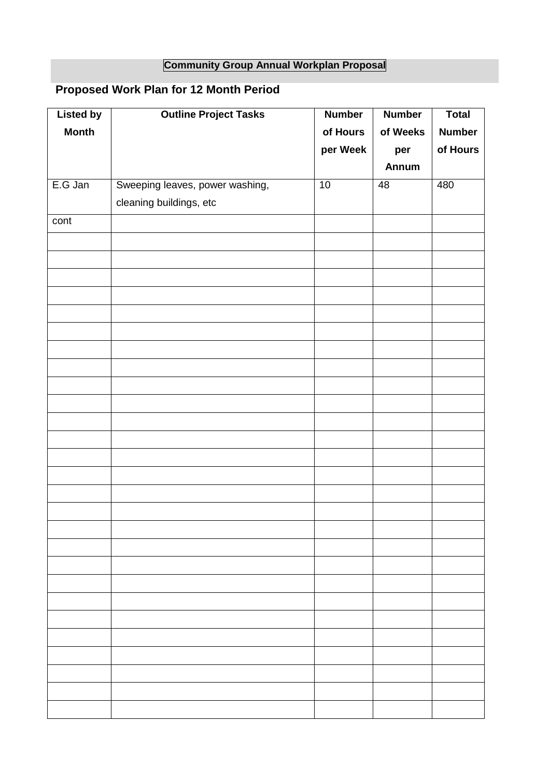# **Community Group Annual Workplan Proposal**

# **Proposed Work Plan for 12 Month Period**

| <b>Listed by</b> | <b>Outline Project Tasks</b>    | <b>Number</b> | <b>Number</b> | <b>Total</b>  |
|------------------|---------------------------------|---------------|---------------|---------------|
| <b>Month</b>     |                                 | of Hours      | of Weeks      | <b>Number</b> |
|                  |                                 | per Week      | per           | of Hours      |
|                  |                                 |               | Annum         |               |
| E.G Jan          | Sweeping leaves, power washing, | 10            | 48            | 480           |
|                  | cleaning buildings, etc         |               |               |               |
| cont             |                                 |               |               |               |
|                  |                                 |               |               |               |
|                  |                                 |               |               |               |
|                  |                                 |               |               |               |
|                  |                                 |               |               |               |
|                  |                                 |               |               |               |
|                  |                                 |               |               |               |
|                  |                                 |               |               |               |
|                  |                                 |               |               |               |
|                  |                                 |               |               |               |
|                  |                                 |               |               |               |
|                  |                                 |               |               |               |
|                  |                                 |               |               |               |
|                  |                                 |               |               |               |
|                  |                                 |               |               |               |
|                  |                                 |               |               |               |
|                  |                                 |               |               |               |
|                  |                                 |               |               |               |
|                  |                                 |               |               |               |
|                  |                                 |               |               |               |
|                  |                                 |               |               |               |
|                  |                                 |               |               |               |
|                  |                                 |               |               |               |
|                  |                                 |               |               |               |
|                  |                                 |               |               |               |
|                  |                                 |               |               |               |
|                  |                                 |               |               |               |
|                  |                                 |               |               |               |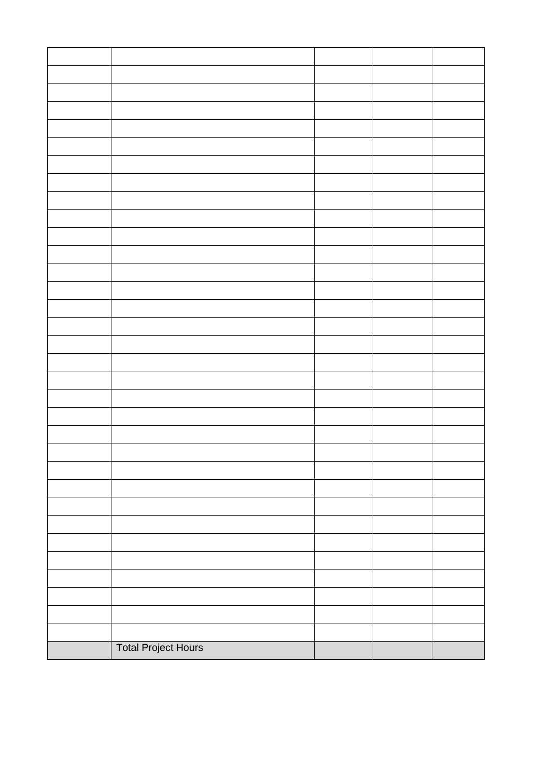| <b>Total Project Hours</b> |  |  |
|----------------------------|--|--|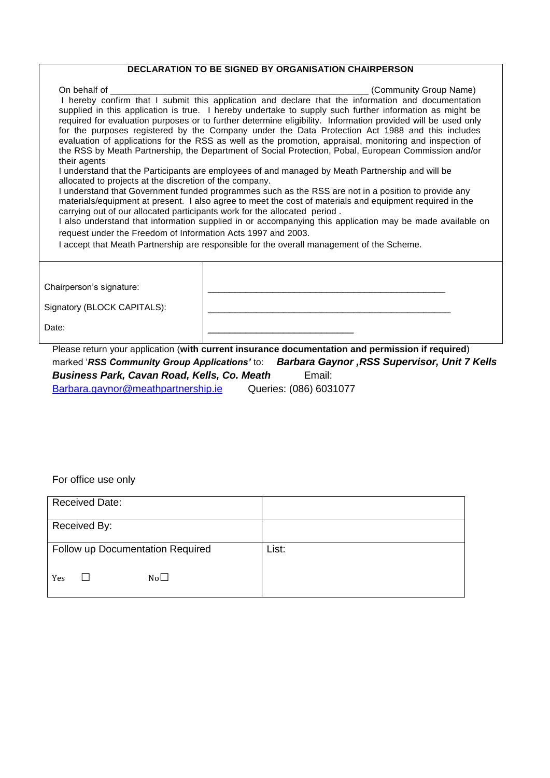## **DECLARATION TO BE SIGNED BY ORGANISATION CHAIRPERSON**

| On behalf of                                                                                                                                                                                                                                                                                                                                                                                                                                                                                                                                                                                                                                         | (Community Group Name)                                                                                                                                                                                          |  |  |  |  |  |
|------------------------------------------------------------------------------------------------------------------------------------------------------------------------------------------------------------------------------------------------------------------------------------------------------------------------------------------------------------------------------------------------------------------------------------------------------------------------------------------------------------------------------------------------------------------------------------------------------------------------------------------------------|-----------------------------------------------------------------------------------------------------------------------------------------------------------------------------------------------------------------|--|--|--|--|--|
| I hereby confirm that I submit this application and declare that the information and documentation<br>supplied in this application is true. I hereby undertake to supply such further information as might be<br>required for evaluation purposes or to further determine eligibility. Information provided will be used only<br>for the purposes registered by the Company under the Data Protection Act 1988 and this includes<br>evaluation of applications for the RSS as well as the promotion, appraisal, monitoring and inspection of<br>the RSS by Meath Partnership, the Department of Social Protection, Pobal, European Commission and/or |                                                                                                                                                                                                                 |  |  |  |  |  |
|                                                                                                                                                                                                                                                                                                                                                                                                                                                                                                                                                                                                                                                      | their agents<br>I understand that the Participants are employees of and managed by Meath Partnership and will be                                                                                                |  |  |  |  |  |
| allocated to projects at the discretion of the company.                                                                                                                                                                                                                                                                                                                                                                                                                                                                                                                                                                                              |                                                                                                                                                                                                                 |  |  |  |  |  |
|                                                                                                                                                                                                                                                                                                                                                                                                                                                                                                                                                                                                                                                      | I understand that Government funded programmes such as the RSS are not in a position to provide any<br>materials/equipment at present. I also agree to meet the cost of materials and equipment required in the |  |  |  |  |  |
|                                                                                                                                                                                                                                                                                                                                                                                                                                                                                                                                                                                                                                                      | carrying out of our allocated participants work for the allocated period.                                                                                                                                       |  |  |  |  |  |
|                                                                                                                                                                                                                                                                                                                                                                                                                                                                                                                                                                                                                                                      | I also understand that information supplied in or accompanying this application may be made available on                                                                                                        |  |  |  |  |  |
| request under the Freedom of Information Acts 1997 and 2003.                                                                                                                                                                                                                                                                                                                                                                                                                                                                                                                                                                                         |                                                                                                                                                                                                                 |  |  |  |  |  |
|                                                                                                                                                                                                                                                                                                                                                                                                                                                                                                                                                                                                                                                      | I accept that Meath Partnership are responsible for the overall management of the Scheme.                                                                                                                       |  |  |  |  |  |
|                                                                                                                                                                                                                                                                                                                                                                                                                                                                                                                                                                                                                                                      |                                                                                                                                                                                                                 |  |  |  |  |  |
| Chairperson's signature:                                                                                                                                                                                                                                                                                                                                                                                                                                                                                                                                                                                                                             |                                                                                                                                                                                                                 |  |  |  |  |  |
|                                                                                                                                                                                                                                                                                                                                                                                                                                                                                                                                                                                                                                                      |                                                                                                                                                                                                                 |  |  |  |  |  |
| Signatory (BLOCK CAPITALS):                                                                                                                                                                                                                                                                                                                                                                                                                                                                                                                                                                                                                          |                                                                                                                                                                                                                 |  |  |  |  |  |
| Date:                                                                                                                                                                                                                                                                                                                                                                                                                                                                                                                                                                                                                                                |                                                                                                                                                                                                                 |  |  |  |  |  |
| Dlagas vatura yayın analisatina (yulth                                                                                                                                                                                                                                                                                                                                                                                                                                                                                                                                                                                                               | The substantial and we consider the section of the section of<br>. <del>.</del>                                                                                                                                 |  |  |  |  |  |

Please return your application (**with current insurance documentation and permission if required**) marked '*RSS Community Group Applications'* to: *Barbara Gaynor ,RSS Supervisor, Unit 7 Kells Business Park, Cavan Road, Kells, Co. Meath* Email: [Barbara.gaynor@meathpartnership.ie](mailto:Barbara.gaynor@meathpartnership.ie) Queries: (086) 6031077

For office use only

| <b>Received Date:</b>            |       |
|----------------------------------|-------|
| Received By:                     |       |
| Follow up Documentation Required | List: |
| No <sub>1</sub><br>Yes           |       |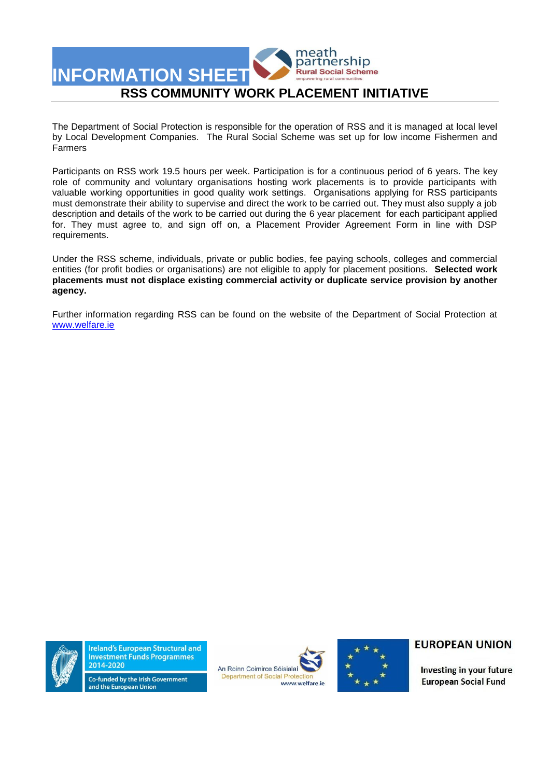

The Department of Social Protection is responsible for the operation of RSS and it is managed at local level by Local Development Companies. The Rural Social Scheme was set up for low income Fishermen and Farmers

Participants on RSS work 19.5 hours per week. Participation is for a continuous period of 6 years. The key role of community and voluntary organisations hosting work placements is to provide participants with valuable working opportunities in good quality work settings. Organisations applying for RSS participants must demonstrate their ability to supervise and direct the work to be carried out. They must also supply a job description and details of the work to be carried out during the 6 year placement for each participant applied for. They must agree to, and sign off on, a Placement Provider Agreement Form in line with DSP requirements.

Under the RSS scheme, individuals, private or public bodies, fee paying schools, colleges and commercial entities (for profit bodies or organisations) are not eligible to apply for placement positions. **Selected work placements must not displace existing commercial activity or duplicate service provision by another agency.**

Further information regarding RSS can be found on the website of the Department of Social Protection at [www.welfare.ie](http://www.welfare.ie/)



**Ireland's European Structural and Investment Funds Programmes** 2014-2020





### **EUROPEAN UNION**

Investing in your future **European Social Fund** 

Co-funded by the Irish Government and the European Union